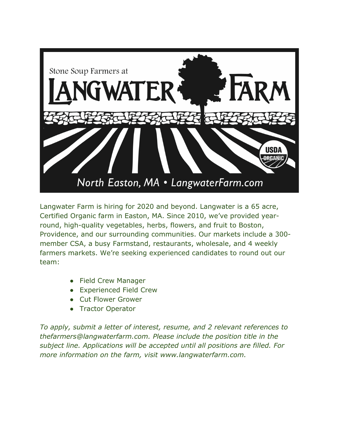

Langwater Farm is hiring for 2020 and beyond. Langwater is a 65 acre, Certified Organic farm in Easton, MA. Since 2010, we've provided yearround, high-quality vegetables, herbs, flowers, and fruit to Boston, Providence, and our surrounding communities. Our markets include a 300 member CSA, a busy Farmstand, restaurants, wholesale, and 4 weekly farmers markets. We're seeking experienced candidates to round out our team:

- Field Crew Manager
- Experienced Field Crew
- Cut Flower Grower
- Tractor Operator

*To apply, submit a letter of interest, resume, and 2 relevant references to thefarmers@langwaterfarm.com. Please include the position title in the subject line. Applications will be accepted until all positions are filled. For more information on the farm, visit www.langwaterfarm.com.*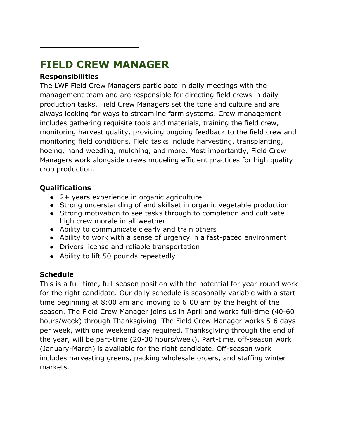# **FIELD CREW MANAGER**

## **Responsibilities**

The LWF Field Crew Managers participate in daily meetings with the management team and are responsible for directing field crews in daily production tasks. Field Crew Managers set the tone and culture and are always looking for ways to streamline farm systems. Crew management includes gathering requisite tools and materials, training the field crew, monitoring harvest quality, providing ongoing feedback to the field crew and monitoring field conditions. Field tasks include harvesting, transplanting, hoeing, hand weeding, mulching, and more. Most importantly, Field Crew Managers work alongside crews modeling efficient practices for high quality crop production.

# **Qualifications**

- 2+ years experience in organic agriculture
- Strong understanding of and skillset in organic vegetable production
- Strong motivation to see tasks through to completion and cultivate high crew morale in all weather
- Ability to communicate clearly and train others
- Ability to work with a sense of urgency in a fast-paced environment
- Drivers license and reliable transportation
- Ability to lift 50 pounds repeatedly

# **Schedule**

This is a full-time, full-season position with the potential for year-round work for the right candidate. Our daily schedule is seasonally variable with a starttime beginning at 8:00 am and moving to 6:00 am by the height of the season. The Field Crew Manager joins us in April and works full-time (40-60 hours/week) through Thanksgiving. The Field Crew Manager works 5-6 days per week, with one weekend day required. Thanksgiving through the end of the year, will be part-time (20-30 hours/week). Part-time, off-season work (January-March) is available for the right candidate. Off-season work includes harvesting greens, packing wholesale orders, and staffing winter markets.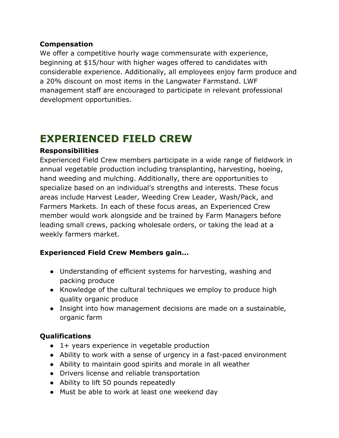### **Compensation**

We offer a competitive hourly wage commensurate with experience, beginning at \$15/hour with higher wages offered to candidates with considerable experience. Additionally, all employees enjoy farm produce and a 20% discount on most items in the Langwater Farmstand. LWF management staff are encouraged to participate in relevant professional development opportunities.

# **EXPERIENCED FIELD CREW**

### **Responsibilities**

Experienced Field Crew members participate in a wide range of fieldwork in annual vegetable production including transplanting, harvesting, hoeing, hand weeding and mulching. Additionally, there are opportunities to specialize based on an individual's strengths and interests. These focus areas include Harvest Leader, Weeding Crew Leader, Wash/Pack, and Farmers Markets. In each of these focus areas, an Experienced Crew member would work alongside and be trained by Farm Managers before leading small crews, packing wholesale orders, or taking the lead at a weekly farmers market.

### **Experienced Field Crew Members gain...**

- Understanding of efficient systems for harvesting, washing and packing produce
- Knowledge of the cultural techniques we employ to produce high quality organic produce
- Insight into how management decisions are made on a sustainable, organic farm

### **Qualifications**

- 1+ years experience in vegetable production
- Ability to work with a sense of urgency in a fast-paced environment
- Ability to maintain good spirits and morale in all weather
- Drivers license and reliable transportation
- Ability to lift 50 pounds repeatedly
- Must be able to work at least one weekend day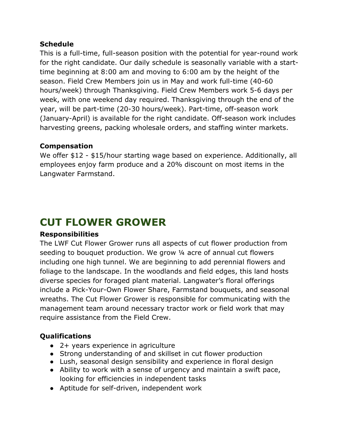### **Schedule**

This is a full-time, full-season position with the potential for year-round work for the right candidate. Our daily schedule is seasonally variable with a starttime beginning at 8:00 am and moving to 6:00 am by the height of the season. Field Crew Members join us in May and work full-time (40-60 hours/week) through Thanksgiving. Field Crew Members work 5-6 days per week, with one weekend day required. Thanksgiving through the end of the year, will be part-time (20-30 hours/week). Part-time, off-season work (January-April) is available for the right candidate. Off-season work includes harvesting greens, packing wholesale orders, and staffing winter markets.

#### **Compensation**

We offer \$12 - \$15/hour starting wage based on experience. Additionally, all employees enjoy farm produce and a 20% discount on most items in the Langwater Farmstand.

# **CUT FLOWER GROWER**

#### **Responsibilities**

The LWF Cut Flower Grower runs all aspects of cut flower production from seeding to bouquet production. We grow 1/4 acre of annual cut flowers including one high tunnel. We are beginning to add perennial flowers and foliage to the landscape. In the woodlands and field edges, this land hosts diverse species for foraged plant material. Langwater's floral offerings include a Pick-Your-Own Flower Share, Farmstand bouquets, and seasonal wreaths. The Cut Flower Grower is responsible for communicating with the management team around necessary tractor work or field work that may require assistance from the Field Crew.

### **Qualifications**

- 2+ years experience in agriculture
- Strong understanding of and skillset in cut flower production
- Lush, seasonal design sensibility and experience in floral design
- Ability to work with a sense of urgency and maintain a swift pace, looking for efficiencies in independent tasks
- Aptitude for self-driven, independent work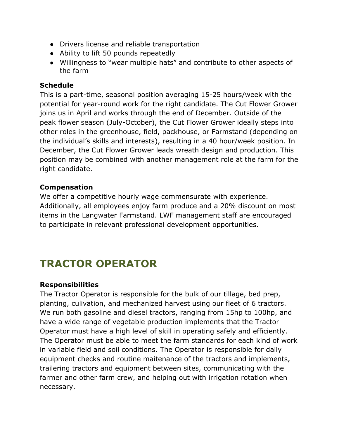- Drivers license and reliable transportation
- Ability to lift 50 pounds repeatedly
- Willingness to "wear multiple hats" and contribute to other aspects of the farm

### **Schedule**

This is a part-time, seasonal position averaging 15-25 hours/week with the potential for year-round work for the right candidate. The Cut Flower Grower joins us in April and works through the end of December. Outside of the peak flower season (July-October), the Cut Flower Grower ideally steps into other roles in the greenhouse, field, packhouse, or Farmstand (depending on the individual's skills and interests), resulting in a 40 hour/week position. In December, the Cut Flower Grower leads wreath design and production. This position may be combined with another management role at the farm for the right candidate.

### **Compensation**

We offer a competitive hourly wage commensurate with experience. Additionally, all employees enjoy farm produce and a 20% discount on most items in the Langwater Farmstand. LWF management staff are encouraged to participate in relevant professional development opportunities.

# **TRACTOR OPERATOR**

### **Responsibilities**

The Tractor Operator is responsible for the bulk of our tillage, bed prep, planting, culivation, and mechanized harvest using our fleet of 6 tractors. We run both gasoline and diesel tractors, ranging from 15hp to 100hp, and have a wide range of vegetable production implements that the Tractor Operator must have a high level of skill in operating safely and efficiently. The Operator must be able to meet the farm standards for each kind of work in variable field and soil conditions. The Operator is responsible for daily equipment checks and routine maitenance of the tractors and implements, trailering tractors and equipment between sites, communicating with the farmer and other farm crew, and helping out with irrigation rotation when necessary.